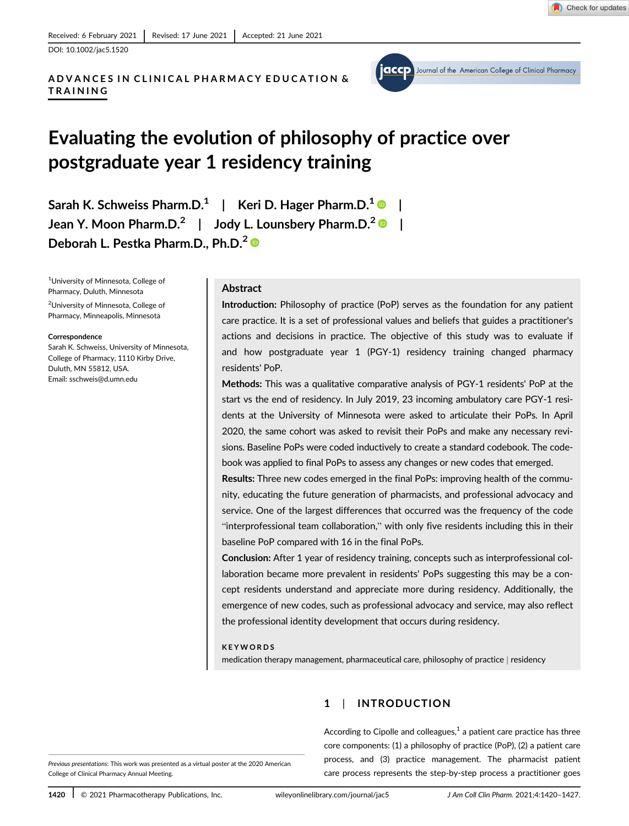DOI: 10.1002/jac5.1520

# ADVANCES IN CLINICAL PHARMACY EDUCATION & TRAINING



# Evaluating the evolution of philosophy of practice over postgraduate year 1 residency training

Sarah K. Schweiss Pharm.D.<sup>1</sup> | Keri D. Hager Pharm.D.<sup>1</sup> | Jean Y. Moon Pharm.D.<sup>2</sup> | Jody L. Lounsbery Pharm.D.<sup>2</sup> | Deborah L. Pestka Pharm.D., Ph.D.<sup>2</sup>

1 University of Minnesota, College of Pharmacy, Duluth, Minnesota 2 University of Minnesota, College of Pharmacy, Minneapolis, Minnesota

#### Correspondence

Sarah K. Schweiss, University of Minnesota, College of Pharmacy, 1110 Kirby Drive, Duluth, MN 55812, USA. Email: [sschweis@d.umn.edu](mailto:sschweis@d.umn.edu)

#### Abstract

Introduction: Philosophy of practice (PoP) serves as the foundation for any patient care practice. It is a set of professional values and beliefs that guides a practitioner's actions and decisions in practice. The objective of this study was to evaluate if and how postgraduate year 1 (PGY-1) residency training changed pharmacy residents' PoP.

Methods: This was a qualitative comparative analysis of PGY-1 residents' PoP at the start vs the end of residency. In July 2019, 23 incoming ambulatory care PGY-1 residents at the University of Minnesota were asked to articulate their PoPs. In April 2020, the same cohort was asked to revisit their PoPs and make any necessary revisions. Baseline PoPs were coded inductively to create a standard codebook. The codebook was applied to final PoPs to assess any changes or new codes that emerged.

Results: Three new codes emerged in the final PoPs: improving health of the community, educating the future generation of pharmacists, and professional advocacy and service. One of the largest differences that occurred was the frequency of the code "interprofessional team collaboration," with only five residents including this in their baseline PoP compared with 16 in the final PoPs.

Conclusion: After 1 year of residency training, concepts such as interprofessional collaboration became more prevalent in residents' PoPs suggesting this may be a concept residents understand and appreciate more during residency. Additionally, the emergence of new codes, such as professional advocacy and service, may also reflect the professional identity development that occurs during residency.

#### KEYWORDS

medication therapy management, pharmaceutical care, philosophy of practice | residency

# 1 | INTRODUCTION

According to Cipolle and colleagues, $<sup>1</sup>$  a patient care practice has three</sup> core components: (1) a philosophy of practice (PoP), (2) a patient care process, and (3) practice management. The pharmacist patient care process represents the step-by-step process a practitioner goes

Previous presentations: This work was presented as a virtual poster at the 2020 American College of Clinical Pharmacy Annual Meeting.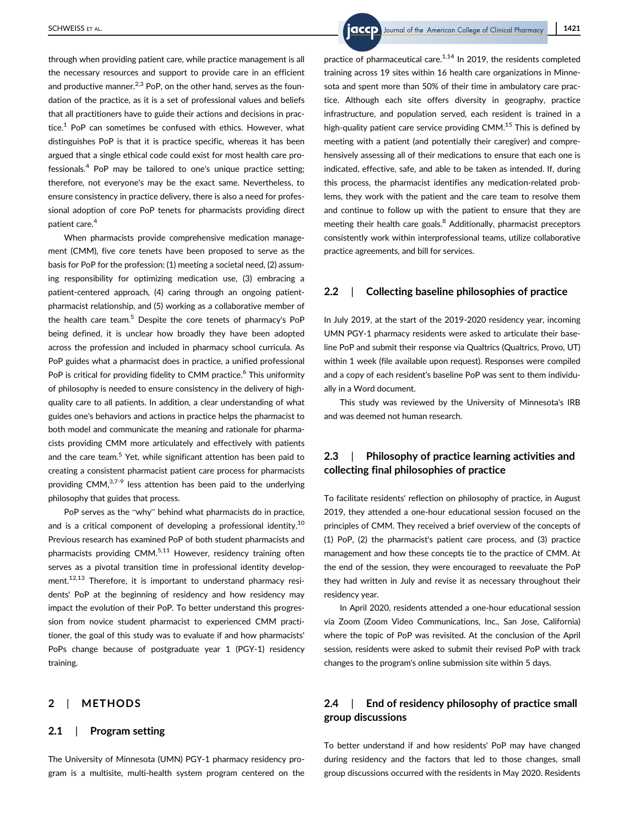through when providing patient care, while practice management is all the necessary resources and support to provide care in an efficient and productive manner. $2,3$  PoP, on the other hand, serves as the foundation of the practice, as it is a set of professional values and beliefs that all practitioners have to guide their actions and decisions in practice. $1$  PoP can sometimes be confused with ethics. However, what distinguishes PoP is that it is practice specific, whereas it has been argued that a single ethical code could exist for most health care professionals. $4$  PoP may be tailored to one's unique practice setting; therefore, not everyone's may be the exact same. Nevertheless, to ensure consistency in practice delivery, there is also a need for professional adoption of core PoP tenets for pharmacists providing direct patient care.<sup>4</sup>

When pharmacists provide comprehensive medication management (CMM), five core tenets have been proposed to serve as the basis for PoP for the profession: (1) meeting a societal need, (2) assuming responsibility for optimizing medication use, (3) embracing a patient-centered approach, (4) caring through an ongoing patientpharmacist relationship, and (5) working as a collaborative member of the health care team.<sup>5</sup> Despite the core tenets of pharmacy's PoP being defined, it is unclear how broadly they have been adopted across the profession and included in pharmacy school curricula. As PoP guides what a pharmacist does in practice, a unified professional PoP is critical for providing fidelity to CMM practice.<sup>6</sup> This uniformity of philosophy is needed to ensure consistency in the delivery of highquality care to all patients. In addition, a clear understanding of what guides one's behaviors and actions in practice helps the pharmacist to both model and communicate the meaning and rationale for pharmacists providing CMM more articulately and effectively with patients and the care team.<sup>5</sup> Yet, while significant attention has been paid to creating a consistent pharmacist patient care process for pharmacists providing CMM,3,7-9 less attention has been paid to the underlying philosophy that guides that process.

PoP serves as the "why" behind what pharmacists do in practice, and is a critical component of developing a professional identity.<sup>10</sup> Previous research has examined PoP of both student pharmacists and pharmacists providing  $CMM$ <sup>5,11</sup> However, residency training often serves as a pivotal transition time in professional identity development.<sup>12,13</sup> Therefore, it is important to understand pharmacy residents' PoP at the beginning of residency and how residency may impact the evolution of their PoP. To better understand this progression from novice student pharmacist to experienced CMM practitioner, the goal of this study was to evaluate if and how pharmacists' PoPs change because of postgraduate year 1 (PGY-1) residency training.

## 2 | METHODS

#### 2.1 | Program setting

The University of Minnesota (UMN) PGY-1 pharmacy residency program is a multisite, multi-health system program centered on the

SCHWEISS ET AL. **1421** SCHWEISS ET AL.

practice of pharmaceutical care.<sup>1,14</sup> In 2019, the residents completed training across 19 sites within 16 health care organizations in Minnesota and spent more than 50% of their time in ambulatory care practice. Although each site offers diversity in geography, practice infrastructure, and population served, each resident is trained in a high-quality patient care service providing CMM. $<sup>15</sup>$  This is defined by</sup> meeting with a patient (and potentially their caregiver) and comprehensively assessing all of their medications to ensure that each one is indicated, effective, safe, and able to be taken as intended. If, during this process, the pharmacist identifies any medication-related problems, they work with the patient and the care team to resolve them and continue to follow up with the patient to ensure that they are meeting their health care goals.<sup>8</sup> Additionally, pharmacist preceptors consistently work within interprofessional teams, utilize collaborative practice agreements, and bill for services.

## 2.2 | Collecting baseline philosophies of practice

In July 2019, at the start of the 2019-2020 residency year, incoming UMN PGY-1 pharmacy residents were asked to articulate their baseline PoP and submit their response via Qualtrics (Qualtrics, Provo, UT) within 1 week (file available upon request). Responses were compiled and a copy of each resident's baseline PoP was sent to them individually in a Word document.

This study was reviewed by the University of Minnesota's IRB and was deemed not human research.

## 2.3 | Philosophy of practice learning activities and collecting final philosophies of practice

To facilitate residents' reflection on philosophy of practice, in August 2019, they attended a one-hour educational session focused on the principles of CMM. They received a brief overview of the concepts of (1) PoP, (2) the pharmacist's patient care process, and (3) practice management and how these concepts tie to the practice of CMM. At the end of the session, they were encouraged to reevaluate the PoP they had written in July and revise it as necessary throughout their residency year.

In April 2020, residents attended a one-hour educational session via Zoom (Zoom Video Communications, Inc., San Jose, California) where the topic of PoP was revisited. At the conclusion of the April session, residents were asked to submit their revised PoP with track changes to the program's online submission site within 5 days.

## 2.4 | End of residency philosophy of practice small group discussions

To better understand if and how residents' PoP may have changed during residency and the factors that led to those changes, small group discussions occurred with the residents in May 2020. Residents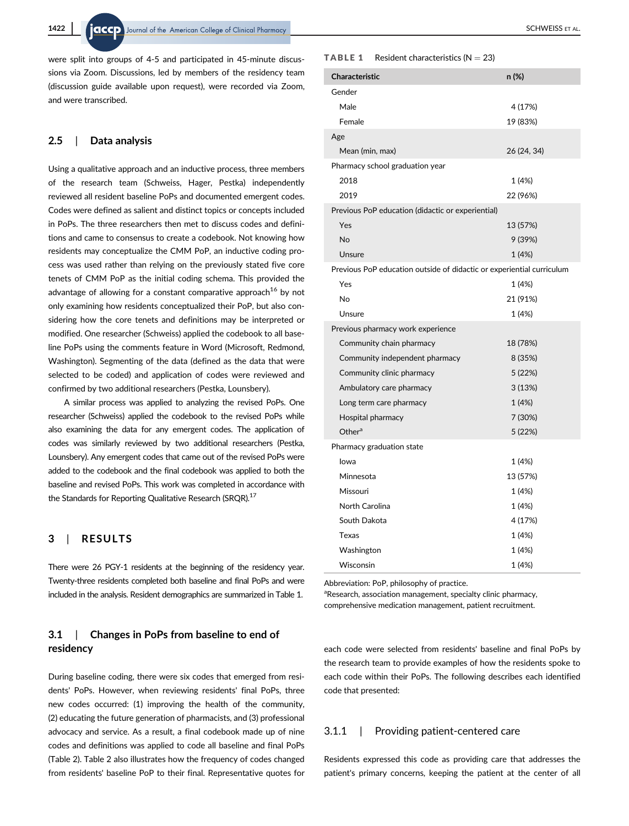were split into groups of 4-5 and participated in 45-minute discussions via Zoom. Discussions, led by members of the residency team (discussion guide available upon request), were recorded via Zoom, and were transcribed.

#### 2.5 | Data analysis

Using a qualitative approach and an inductive process, three members of the research team (Schweiss, Hager, Pestka) independently reviewed all resident baseline PoPs and documented emergent codes. Codes were defined as salient and distinct topics or concepts included in PoPs. The three researchers then met to discuss codes and definitions and came to consensus to create a codebook. Not knowing how residents may conceptualize the CMM PoP, an inductive coding process was used rather than relying on the previously stated five core tenets of CMM PoP as the initial coding schema. This provided the advantage of allowing for a constant comparative approach<sup>16</sup> by not only examining how residents conceptualized their PoP, but also considering how the core tenets and definitions may be interpreted or modified. One researcher (Schweiss) applied the codebook to all baseline PoPs using the comments feature in Word (Microsoft, Redmond, Washington). Segmenting of the data (defined as the data that were selected to be coded) and application of codes were reviewed and confirmed by two additional researchers (Pestka, Lounsbery).

A similar process was applied to analyzing the revised PoPs. One researcher (Schweiss) applied the codebook to the revised PoPs while also examining the data for any emergent codes. The application of codes was similarly reviewed by two additional researchers (Pestka, Lounsbery). Any emergent codes that came out of the revised PoPs were added to the codebook and the final codebook was applied to both the baseline and revised PoPs. This work was completed in accordance with the Standards for Reporting Qualitative Research (SRQR).<sup>17</sup>

## 3 | RESULTS

There were 26 PGY-1 residents at the beginning of the residency year. Twenty-three residents completed both baseline and final PoPs and were included in the analysis. Resident demographics are summarized in Table 1.

## 3.1 | Changes in PoPs from baseline to end of residency

During baseline coding, there were six codes that emerged from residents' PoPs. However, when reviewing residents' final PoPs, three new codes occurred: (1) improving the health of the community, (2) educating the future generation of pharmacists, and (3) professional advocacy and service. As a result, a final codebook made up of nine codes and definitions was applied to code all baseline and final PoPs (Table 2). Table 2 also illustrates how the frequency of codes changed from residents' baseline PoP to their final. Representative quotes for

#### **TABLE 1** Resident characteristics  $(N = 23)$

| Characteristic                                                        | n (%)       |  |
|-----------------------------------------------------------------------|-------------|--|
| Gender                                                                |             |  |
| Male                                                                  | 4 (17%)     |  |
| Female                                                                | 19 (83%)    |  |
| Age                                                                   |             |  |
| Mean (min, max)                                                       | 26 (24, 34) |  |
| Pharmacy school graduation year                                       |             |  |
| 2018                                                                  | 1 (4%)      |  |
| 2019                                                                  | 22 (96%)    |  |
| Previous PoP education (didactic or experiential)                     |             |  |
| Yes                                                                   | 13 (57%)    |  |
| No                                                                    | 9 (39%)     |  |
| Unsure                                                                | 1 (4%)      |  |
| Previous PoP education outside of didactic or experiential curriculum |             |  |
| Yes                                                                   | 1 (4%)      |  |
| No                                                                    | 21 (91%)    |  |
| Unsure                                                                | 1 (4%)      |  |
| Previous pharmacy work experience                                     |             |  |
| Community chain pharmacy                                              | 18 (78%)    |  |
| Community independent pharmacy                                        | 8 (35%)     |  |
| Community clinic pharmacy                                             | 5 (22%)     |  |
| Ambulatory care pharmacy                                              | 3(13%)      |  |
| Long term care pharmacy                                               | 1 (4%)      |  |
| Hospital pharmacy                                                     | 7 (30%)     |  |
| Other <sup>a</sup>                                                    | 5 (22%)     |  |
| Pharmacy graduation state                                             |             |  |
| lowa                                                                  | 1 (4%)      |  |
| Minnesota                                                             | 13 (57%)    |  |
| Missouri                                                              | 1 (4%)      |  |
| North Carolina                                                        | 1 (4%)      |  |
| South Dakota                                                          | 4 (17%)     |  |
| Texas                                                                 | 1 (4%)      |  |
| Washington                                                            | 1 (4%)      |  |
| Wisconsin                                                             | 1 (4%)      |  |

Abbreviation: PoP, philosophy of practice.

aResearch, association management, specialty clinic pharmacy, comprehensive medication management, patient recruitment.

each code were selected from residents' baseline and final PoPs by the research team to provide examples of how the residents spoke to each code within their PoPs. The following describes each identified code that presented:

#### 3.1.1 | Providing patient-centered care

Residents expressed this code as providing care that addresses the patient's primary concerns, keeping the patient at the center of all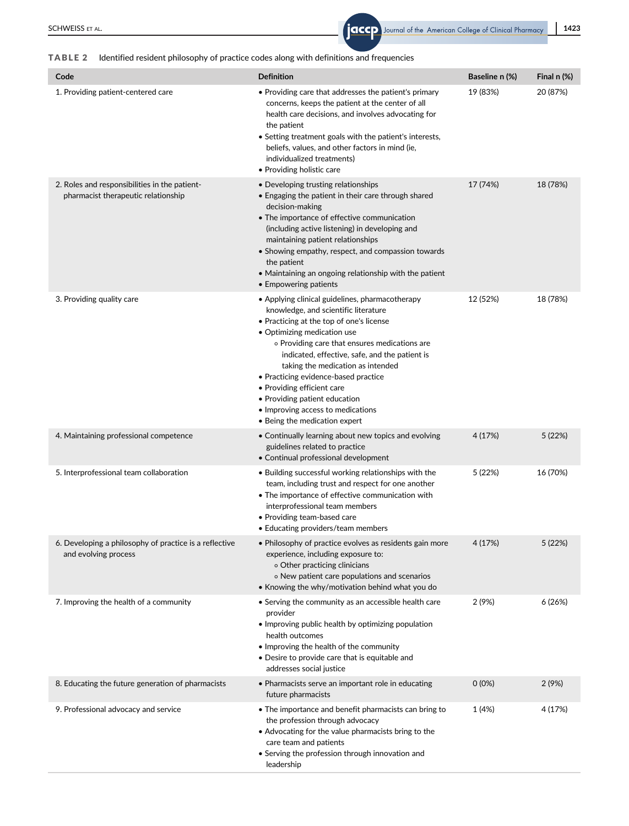## TABLE 2 Identified resident philosophy of practice codes along with definitions and frequencies

| Code                                                                                 | <b>Definition</b>                                                                                                                                                                                                                                                                                                                                                                                                                                                                       | Baseline n (%) | Final $n$ (%) |
|--------------------------------------------------------------------------------------|-----------------------------------------------------------------------------------------------------------------------------------------------------------------------------------------------------------------------------------------------------------------------------------------------------------------------------------------------------------------------------------------------------------------------------------------------------------------------------------------|----------------|---------------|
| 1. Providing patient-centered care                                                   | • Providing care that addresses the patient's primary<br>concerns, keeps the patient at the center of all<br>health care decisions, and involves advocating for<br>the patient<br>• Setting treatment goals with the patient's interests,<br>beliefs, values, and other factors in mind (ie,<br>individualized treatments)<br>• Providing holistic care                                                                                                                                 | 19 (83%)       | 20 (87%)      |
| 2. Roles and responsibilities in the patient-<br>pharmacist therapeutic relationship | • Developing trusting relationships<br>• Engaging the patient in their care through shared<br>decision-making<br>• The importance of effective communication<br>(including active listening) in developing and<br>maintaining patient relationships<br>• Showing empathy, respect, and compassion towards<br>the patient<br>• Maintaining an ongoing relationship with the patient<br>• Empowering patients                                                                             | 17 (74%)       | 18 (78%)      |
| 3. Providing quality care                                                            | • Applying clinical guidelines, pharmacotherapy<br>knowledge, and scientific literature<br>• Practicing at the top of one's license<br>• Optimizing medication use<br>o Providing care that ensures medications are<br>indicated, effective, safe, and the patient is<br>taking the medication as intended<br>• Practicing evidence-based practice<br>• Providing efficient care<br>• Providing patient education<br>• Improving access to medications<br>• Being the medication expert | 12 (52%)       | 18 (78%)      |
| 4. Maintaining professional competence                                               | • Continually learning about new topics and evolving<br>guidelines related to practice<br>• Continual professional development                                                                                                                                                                                                                                                                                                                                                          | 4 (17%)        | 5 (22%)       |
| 5. Interprofessional team collaboration                                              | • Building successful working relationships with the<br>team, including trust and respect for one another<br>• The importance of effective communication with<br>interprofessional team members<br>• Providing team-based care<br>• Educating providers/team members                                                                                                                                                                                                                    | 5 (22%)        | 16 (70%)      |
| 6. Developing a philosophy of practice is a reflective<br>and evolving process       | • Philosophy of practice evolves as residents gain more<br>experience, including exposure to:<br>o Other practicing clinicians<br>o New patient care populations and scenarios<br>• Knowing the why/motivation behind what you do                                                                                                                                                                                                                                                       | 4 (17%)        | 5 (22%)       |
| 7. Improving the health of a community                                               | • Serving the community as an accessible health care<br>provider<br>• Improving public health by optimizing population<br>health outcomes<br>• Improving the health of the community<br>• Desire to provide care that is equitable and<br>addresses social justice                                                                                                                                                                                                                      | 2 (9%)         | 6(26%)        |
| 8. Educating the future generation of pharmacists                                    | • Pharmacists serve an important role in educating<br>future pharmacists                                                                                                                                                                                                                                                                                                                                                                                                                | $0(0\%)$       | 2(9%)         |
| 9. Professional advocacy and service                                                 | • The importance and benefit pharmacists can bring to<br>the profession through advocacy<br>• Advocating for the value pharmacists bring to the<br>care team and patients<br>• Serving the profession through innovation and<br>leadership                                                                                                                                                                                                                                              | 1 (4%)         | 4 (17%)       |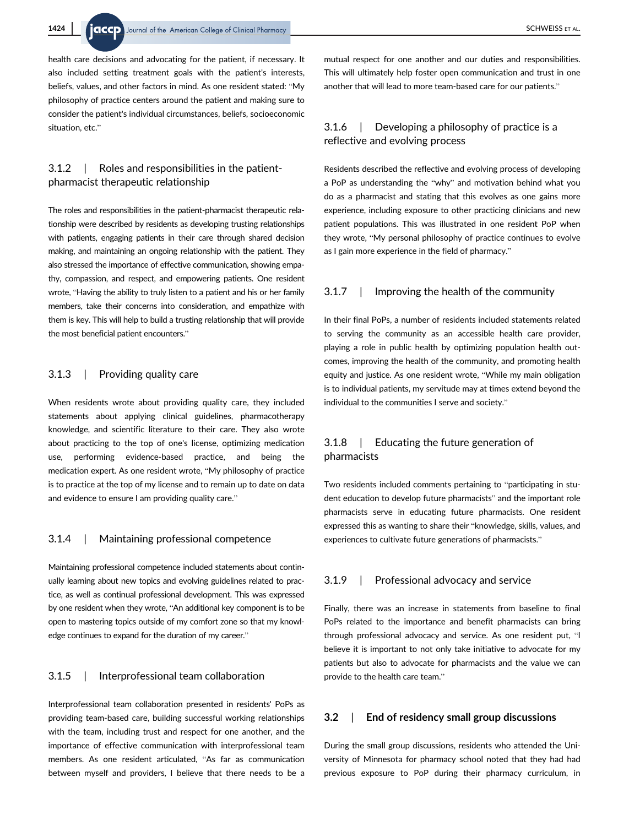health care decisions and advocating for the patient, if necessary. It also included setting treatment goals with the patient's interests, beliefs, values, and other factors in mind. As one resident stated: "My philosophy of practice centers around the patient and making sure to consider the patient's individual circumstances, beliefs, socioeconomic situation, etc."

## 3.1.2 | Roles and responsibilities in the patientpharmacist therapeutic relationship

The roles and responsibilities in the patient-pharmacist therapeutic relationship were described by residents as developing trusting relationships with patients, engaging patients in their care through shared decision making, and maintaining an ongoing relationship with the patient. They also stressed the importance of effective communication, showing empathy, compassion, and respect, and empowering patients. One resident wrote, "Having the ability to truly listen to a patient and his or her family members, take their concerns into consideration, and empathize with them is key. This will help to build a trusting relationship that will provide the most beneficial patient encounters."

## 3.1.3 | Providing quality care

When residents wrote about providing quality care, they included statements about applying clinical guidelines, pharmacotherapy knowledge, and scientific literature to their care. They also wrote about practicing to the top of one's license, optimizing medication use, performing evidence-based practice, and being the medication expert. As one resident wrote, "My philosophy of practice is to practice at the top of my license and to remain up to date on data and evidence to ensure I am providing quality care."

## 3.1.4 | Maintaining professional competence

Maintaining professional competence included statements about continually learning about new topics and evolving guidelines related to practice, as well as continual professional development. This was expressed by one resident when they wrote, "An additional key component is to be open to mastering topics outside of my comfort zone so that my knowledge continues to expand for the duration of my career."

## 3.1.5 | Interprofessional team collaboration

Interprofessional team collaboration presented in residents' PoPs as providing team-based care, building successful working relationships with the team, including trust and respect for one another, and the importance of effective communication with interprofessional team members. As one resident articulated, "As far as communication between myself and providers, I believe that there needs to be a

mutual respect for one another and our duties and responsibilities. This will ultimately help foster open communication and trust in one another that will lead to more team-based care for our patients."

## 3.1.6 | Developing a philosophy of practice is a reflective and evolving process

Residents described the reflective and evolving process of developing a PoP as understanding the "why" and motivation behind what you do as a pharmacist and stating that this evolves as one gains more experience, including exposure to other practicing clinicians and new patient populations. This was illustrated in one resident PoP when they wrote, "My personal philosophy of practice continues to evolve as I gain more experience in the field of pharmacy."

## 3.1.7 | Improving the health of the community

In their final PoPs, a number of residents included statements related to serving the community as an accessible health care provider, playing a role in public health by optimizing population health outcomes, improving the health of the community, and promoting health equity and justice. As one resident wrote, "While my main obligation is to individual patients, my servitude may at times extend beyond the individual to the communities I serve and society."

## 3.1.8 | Educating the future generation of pharmacists

Two residents included comments pertaining to "participating in student education to develop future pharmacists" and the important role pharmacists serve in educating future pharmacists. One resident expressed this as wanting to share their "knowledge, skills, values, and experiences to cultivate future generations of pharmacists."

#### 3.1.9 | Professional advocacy and service

Finally, there was an increase in statements from baseline to final PoPs related to the importance and benefit pharmacists can bring through professional advocacy and service. As one resident put, "I believe it is important to not only take initiative to advocate for my patients but also to advocate for pharmacists and the value we can provide to the health care team."

## 3.2 | End of residency small group discussions

During the small group discussions, residents who attended the University of Minnesota for pharmacy school noted that they had had previous exposure to PoP during their pharmacy curriculum, in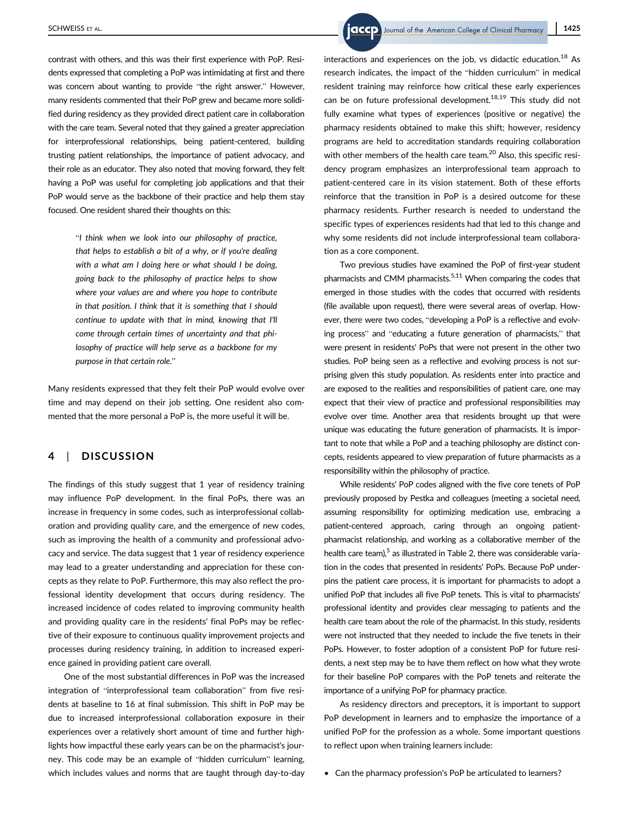contrast with others, and this was their first experience with PoP. Residents expressed that completing a PoP was intimidating at first and there was concern about wanting to provide "the right answer." However, many residents commented that their PoP grew and became more solidified during residency as they provided direct patient care in collaboration with the care team. Several noted that they gained a greater appreciation for interprofessional relationships, being patient-centered, building trusting patient relationships, the importance of patient advocacy, and their role as an educator. They also noted that moving forward, they felt having a PoP was useful for completing job applications and that their PoP would serve as the backbone of their practice and help them stay focused. One resident shared their thoughts on this:

> "I think when we look into our philosophy of practice, that helps to establish a bit of a why, or if you're dealing with a what am I doing here or what should I be doing, going back to the philosophy of practice helps to show where your values are and where you hope to contribute in that position. I think that it is something that I should continue to update with that in mind, knowing that I'll come through certain times of uncertainty and that philosophy of practice will help serve as a backbone for my purpose in that certain role."

Many residents expressed that they felt their PoP would evolve over time and may depend on their job setting. One resident also commented that the more personal a PoP is, the more useful it will be.

#### 4 | DISCUSSION

The findings of this study suggest that 1 year of residency training may influence PoP development. In the final PoPs, there was an increase in frequency in some codes, such as interprofessional collaboration and providing quality care, and the emergence of new codes, such as improving the health of a community and professional advocacy and service. The data suggest that 1 year of residency experience may lead to a greater understanding and appreciation for these concepts as they relate to PoP. Furthermore, this may also reflect the professional identity development that occurs during residency. The increased incidence of codes related to improving community health and providing quality care in the residents' final PoPs may be reflective of their exposure to continuous quality improvement projects and processes during residency training, in addition to increased experience gained in providing patient care overall.

One of the most substantial differences in PoP was the increased integration of "interprofessional team collaboration" from five residents at baseline to 16 at final submission. This shift in PoP may be due to increased interprofessional collaboration exposure in their experiences over a relatively short amount of time and further highlights how impactful these early years can be on the pharmacist's journey. This code may be an example of "hidden curriculum" learning, which includes values and norms that are taught through day-to-day

SCHWEISS ET AL. **1425** SCHWEISS ET AL.

interactions and experiences on the job, vs didactic education.<sup>18</sup> As research indicates, the impact of the "hidden curriculum" in medical resident training may reinforce how critical these early experiences can be on future professional development.<sup>18,19</sup> This study did not fully examine what types of experiences (positive or negative) the pharmacy residents obtained to make this shift; however, residency programs are held to accreditation standards requiring collaboration with other members of the health care team.<sup>20</sup> Also, this specific residency program emphasizes an interprofessional team approach to patient-centered care in its vision statement. Both of these efforts reinforce that the transition in PoP is a desired outcome for these pharmacy residents. Further research is needed to understand the specific types of experiences residents had that led to this change and why some residents did not include interprofessional team collaboration as a core component.

Two previous studies have examined the PoP of first-year student pharmacists and CMM pharmacists.<sup>5,11</sup> When comparing the codes that emerged in those studies with the codes that occurred with residents (file available upon request), there were several areas of overlap. However, there were two codes, "developing a PoP is a reflective and evolving process" and "educating a future generation of pharmacists," that were present in residents' PoPs that were not present in the other two studies. PoP being seen as a reflective and evolving process is not surprising given this study population. As residents enter into practice and are exposed to the realities and responsibilities of patient care, one may expect that their view of practice and professional responsibilities may evolve over time. Another area that residents brought up that were unique was educating the future generation of pharmacists. It is important to note that while a PoP and a teaching philosophy are distinct concepts, residents appeared to view preparation of future pharmacists as a responsibility within the philosophy of practice.

While residents' PoP codes aligned with the five core tenets of PoP previously proposed by Pestka and colleagues (meeting a societal need, assuming responsibility for optimizing medication use, embracing a patient-centered approach, caring through an ongoing patientpharmacist relationship, and working as a collaborative member of the health care team), $5$  as illustrated in Table 2, there was considerable variation in the codes that presented in residents' PoPs. Because PoP underpins the patient care process, it is important for pharmacists to adopt a unified PoP that includes all five PoP tenets. This is vital to pharmacists' professional identity and provides clear messaging to patients and the health care team about the role of the pharmacist. In this study, residents were not instructed that they needed to include the five tenets in their PoPs. However, to foster adoption of a consistent PoP for future residents, a next step may be to have them reflect on how what they wrote for their baseline PoP compares with the PoP tenets and reiterate the importance of a unifying PoP for pharmacy practice.

As residency directors and preceptors, it is important to support PoP development in learners and to emphasize the importance of a unified PoP for the profession as a whole. Some important questions to reflect upon when training learners include:

• Can the pharmacy profession's PoP be articulated to learners?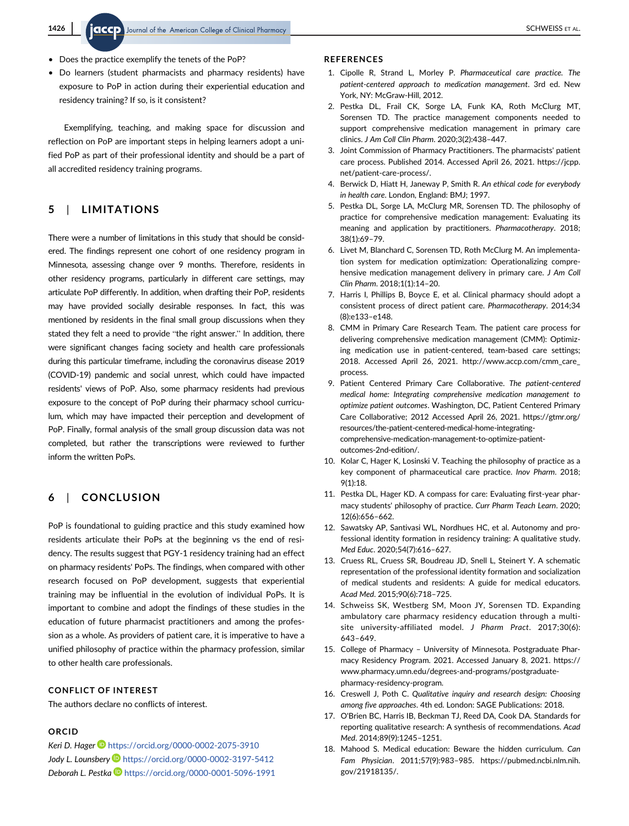- Does the practice exemplify the tenets of the PoP?
- Do learners (student pharmacists and pharmacy residents) have exposure to PoP in action during their experiential education and residency training? If so, is it consistent?

Exemplifying, teaching, and making space for discussion and reflection on PoP are important steps in helping learners adopt a unified PoP as part of their professional identity and should be a part of all accredited residency training programs.

# 5 | LIMITATIONS

There were a number of limitations in this study that should be considered. The findings represent one cohort of one residency program in Minnesota, assessing change over 9 months. Therefore, residents in other residency programs, particularly in different care settings, may articulate PoP differently. In addition, when drafting their PoP, residents may have provided socially desirable responses. In fact, this was mentioned by residents in the final small group discussions when they stated they felt a need to provide "the right answer." In addition, there were significant changes facing society and health care professionals during this particular timeframe, including the coronavirus disease 2019 (COVID-19) pandemic and social unrest, which could have impacted residents' views of PoP. Also, some pharmacy residents had previous exposure to the concept of PoP during their pharmacy school curriculum, which may have impacted their perception and development of PoP. Finally, formal analysis of the small group discussion data was not completed, but rather the transcriptions were reviewed to further inform the written PoPs.

# 6 | CONCLUSION

PoP is foundational to guiding practice and this study examined how residents articulate their PoPs at the beginning vs the end of residency. The results suggest that PGY-1 residency training had an effect on pharmacy residents' PoPs. The findings, when compared with other research focused on PoP development, suggests that experiential training may be influential in the evolution of individual PoPs. It is important to combine and adopt the findings of these studies in the education of future pharmacist practitioners and among the profession as a whole. As providers of patient care, it is imperative to have a unified philosophy of practice within the pharmacy profession, similar to other health care professionals.

## CONFLICT OF INTEREST

The authors declare no conflicts of interest.

## ORCID

Keri D. Hager D <https://orcid.org/0000-0002-2075-3910> Jody L. Lounsbery **b** <https://orcid.org/0000-0002-3197-5412> Deborah L. Pestka D <https://orcid.org/0000-0001-5096-1991>

#### REFERENCES

- 1. Cipolle R, Strand L, Morley P. Pharmaceutical care practice. The patient-centered approach to medication management. 3rd ed. New York, NY: McGraw-Hill, 2012.
- 2. Pestka DL, Frail CK, Sorge LA, Funk KA, Roth McClurg MT, Sorensen TD. The practice management components needed to support comprehensive medication management in primary care clinics. J Am Coll Clin Pharm. 2020;3(2):438–447.
- 3. Joint Commission of Pharmacy Practitioners. The pharmacists' patient care process. Published 2014. Accessed April 26, 2021. [https://jcpp.](https://jcpp.net/patient-care-process/) [net/patient-care-process/.](https://jcpp.net/patient-care-process/)
- 4. Berwick D, Hiatt H, Janeway P, Smith R. An ethical code for everybody in health care. London, England: BMJ; 1997.
- 5. Pestka DL, Sorge LA, McClurg MR, Sorensen TD. The philosophy of practice for comprehensive medication management: Evaluating its meaning and application by practitioners. Pharmacotherapy. 2018; 38(1):69–79.
- 6. Livet M, Blanchard C, Sorensen TD, Roth McClurg M. An implementation system for medication optimization: Operationalizing comprehensive medication management delivery in primary care. J Am Coll Clin Pharm. 2018;1(1):14–20.
- 7. Harris I, Phillips B, Boyce E, et al. Clinical pharmacy should adopt a consistent process of direct patient care. Pharmacotherapy. 2014;34 (8):e133–e148.
- 8. CMM in Primary Care Research Team. The patient care process for delivering comprehensive medication management (CMM): Optimizing medication use in patient-centered, team-based care settings; 2018. Accessed April 26, 2021. [http://www.accp.com/cmm\\_care\\_](http://www.accp.com/cmm_care_process) [process.](http://www.accp.com/cmm_care_process)
- 9. Patient Centered Primary Care Collaborative. The patient-centered medical home: Integrating comprehensive medication management to optimize patient outcomes. Washington, DC, Patient Centered Primary Care Collaborative; 2012 Accessed April 26, 2021. [https://gtmr.org/](https://gtmr.org/resources/the-patient-centered-medical-home-integrating-comprehensive-medication-management-to-optimize-patient-outcomes-2nd-edition/) [resources/the-patient-centered-medical-home-integrating](https://gtmr.org/resources/the-patient-centered-medical-home-integrating-comprehensive-medication-management-to-optimize-patient-outcomes-2nd-edition/)[comprehensive-medication-management-to-optimize-patient](https://gtmr.org/resources/the-patient-centered-medical-home-integrating-comprehensive-medication-management-to-optimize-patient-outcomes-2nd-edition/)[outcomes-2nd-edition/](https://gtmr.org/resources/the-patient-centered-medical-home-integrating-comprehensive-medication-management-to-optimize-patient-outcomes-2nd-edition/).
- 10. Kolar C, Hager K, Losinski V. Teaching the philosophy of practice as a key component of pharmaceutical care practice. Inov Pharm. 2018; 9(1):18.
- 11. Pestka DL, Hager KD. A compass for care: Evaluating first-year pharmacy students' philosophy of practice. Curr Pharm Teach Learn. 2020; 12(6):656–662.
- 12. Sawatsky AP, Santivasi WL, Nordhues HC, et al. Autonomy and professional identity formation in residency training: A qualitative study. Med Educ. 2020;54(7):616–627.
- 13. Cruess RL, Cruess SR, Boudreau JD, Snell L, Steinert Y. A schematic representation of the professional identity formation and socialization of medical students and residents: A guide for medical educators. Acad Med. 2015;90(6):718–725.
- 14. Schweiss SK, Westberg SM, Moon JY, Sorensen TD. Expanding ambulatory care pharmacy residency education through a multisite university-affiliated model. J Pharm Pract. 2017;30(6): 643–649.
- 15. College of Pharmacy University of Minnesota. Postgraduate Pharmacy Residency Program. 2021. Accessed January 8, 2021. [https://](https://www.pharmacy.umn.edu/degrees-and-programs/postgraduate-pharmacy-residency-program) [www.pharmacy.umn.edu/degrees-and-programs/postgraduate](https://www.pharmacy.umn.edu/degrees-and-programs/postgraduate-pharmacy-residency-program)[pharmacy-residency-program](https://www.pharmacy.umn.edu/degrees-and-programs/postgraduate-pharmacy-residency-program).
- 16. Creswell J, Poth C. Qualitative inquiry and research design: Choosing among five approaches. 4th ed. London: SAGE Publications: 2018.
- 17. O'Brien BC, Harris IB, Beckman TJ, Reed DA, Cook DA. Standards for reporting qualitative research: A synthesis of recommendations. Acad Med. 2014;89(9):1245–1251.
- 18. Mahood S. Medical education: Beware the hidden curriculum. Can Fam Physician. 2011;57(9):983–985. [https://pubmed.ncbi.nlm.nih.](https://pubmed.ncbi.nlm.nih.gov/21918135/) [gov/21918135/.](https://pubmed.ncbi.nlm.nih.gov/21918135/)